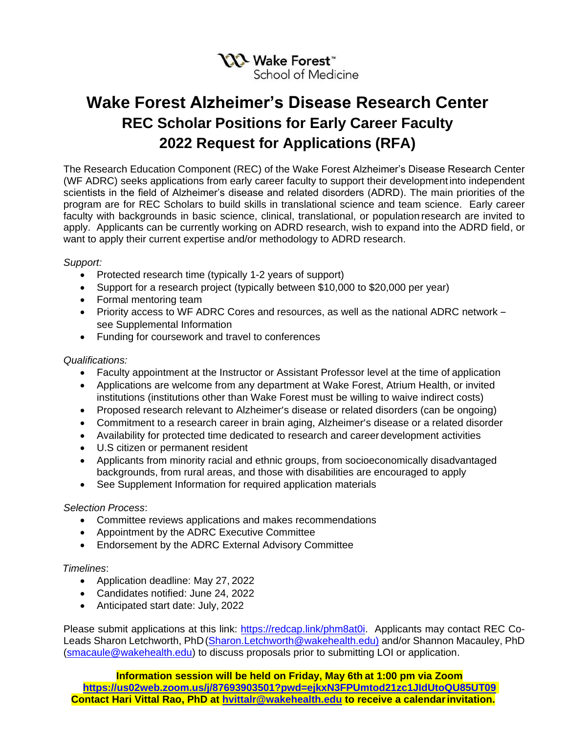

# **Wake Forest Alzheimer's Disease Research Center REC Scholar Positions for Early Career Faculty 2022 Request for Applications (RFA)**

The Research Education Component (REC) of the Wake Forest Alzheimer's Disease Research Center (WF ADRC) seeks applications from early career faculty to support their development into independent scientists in the field of Alzheimer's disease and related disorders (ADRD). The main priorities of the program are for REC Scholars to build skills in translational science and team science. Early career faculty with backgrounds in basic science, clinical, translational, or population research are invited to apply. Applicants can be currently working on ADRD research, wish to expand into the ADRD field, or want to apply their current expertise and/or methodology to ADRD research.

## *Support:*

- Protected research time (typically 1-2 years of support)
- Support for a research project (typically between \$10,000 to \$20,000 per year)
- Formal mentoring team
- Priority access to WF ADRC Cores and resources, as well as the national ADRC network see Supplemental Information
- Funding for coursework and travel to conferences

## *Qualifications:*

- Faculty appointment at the Instructor or Assistant Professor level at the time of application
- Applications are welcome from any department at Wake Forest, Atrium Health, or invited institutions (institutions other than Wake Forest must be willing to waive indirect costs)
- Proposed research relevant to Alzheimer's disease or related disorders (can be ongoing)
- Commitment to a research career in brain aging, Alzheimer's disease or a related disorder
- Availability for protected time dedicated to research and career development activities
- U.S citizen or permanent resident
- Applicants from minority racial and ethnic groups, from socioeconomically disadvantaged backgrounds, from rural areas, and those with disabilities are encouraged to apply
- See Supplement Information for required application materials

#### *Selection Process*:

- Committee reviews applications and makes recommendations
- Appointment by the ADRC Executive Committee
- Endorsement by the ADRC External Advisory Committee

#### *Timelines*:

- Application deadline: May 27, 2022
- Candidates notified: June 24, 2022
- Anticipated start date: July, 2022

Please submit applications at this link: [https://redcap.link/phm8at0i.](https://redcap.link/phm8at0i) Applicants may contact REC Co-Leads Sharon Letchworth, PhD (Sharon.Letchworth@wakehealth.edu) and/or Shannon Macauley, PhD (smacaule@wakehealth.edu) to discuss proposals prior to submitting LOI or application.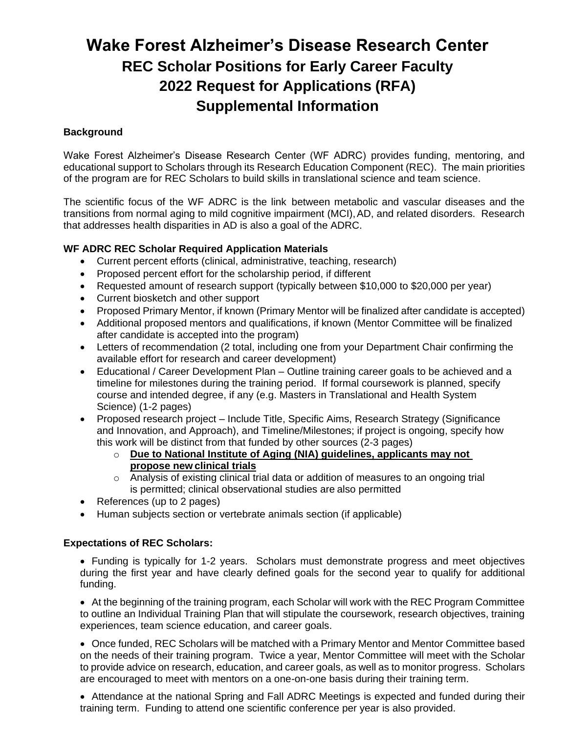# **Wake Forest Alzheimer's Disease Research Center REC Scholar Positions for Early Career Faculty 2022 Request for Applications (RFA) Supplemental Information**

# **Background**

Wake Forest Alzheimer's Disease Research Center (WF ADRC) provides funding, mentoring, and educational support to Scholars through its Research Education Component (REC). The main priorities of the program are for REC Scholars to build skills in translational science and team science.

The scientific focus of the WF ADRC is the link between metabolic and vascular diseases and the transitions from normal aging to mild cognitive impairment (MCI),AD, and related disorders. Research that addresses health disparities in AD is also a goal of the ADRC.

# **WF ADRC REC Scholar Required Application Materials**

- Current percent efforts (clinical, administrative, teaching, research)
- Proposed percent effort for the scholarship period, if different
- Requested amount of research support (typically between \$10,000 to \$20,000 per year)
- Current biosketch and other support
- Proposed Primary Mentor, if known (Primary Mentor will be finalized after candidate is accepted)
- Additional proposed mentors and qualifications, if known (Mentor Committee will be finalized after candidate is accepted into the program)
- Letters of recommendation (2 total, including one from your Department Chair confirming the available effort for research and career development)
- Educational / Career Development Plan Outline training career goals to be achieved and a timeline for milestones during the training period. If formal coursework is planned, specify course and intended degree, if any (e.g. Masters in Translational and Health System Science) (1-2 pages)
- Proposed research project Include Title, Specific Aims, Research Strategy (Significance and Innovation, and Approach), and Timeline/Milestones; if project is ongoing, specify how this work will be distinct from that funded by other sources (2-3 pages)
	- o **Due to National Institute of Aging (NIA) guidelines, applicants may not propose new clinical trials**
	- o Analysis of existing clinical trial data or addition of measures to an ongoing trial is permitted; clinical observational studies are also permitted
- References (up to 2 pages)
- Human subjects section or vertebrate animals section (if applicable)

## **Expectations of REC Scholars:**

 Funding is typically for 1-2 years. Scholars must demonstrate progress and meet objectives during the first year and have clearly defined goals for the second year to qualify for additional funding.

 At the beginning of the training program, each Scholar will work with the REC Program Committee to outline an Individual Training Plan that will stipulate the coursework, research objectives, training experiences, team science education, and career goals.

 Once funded, REC Scholars will be matched with a Primary Mentor and Mentor Committee based on the needs of their training program. Twice a year, Mentor Committee will meet with the Scholar to provide advice on research, education, and career goals, as well as to monitor progress. Scholars are encouraged to meet with mentors on a one-on-one basis during their training term.

 Attendance at the national Spring and Fall ADRC Meetings is expected and funded during their training term. Funding to attend one scientific conference per year is also provided.